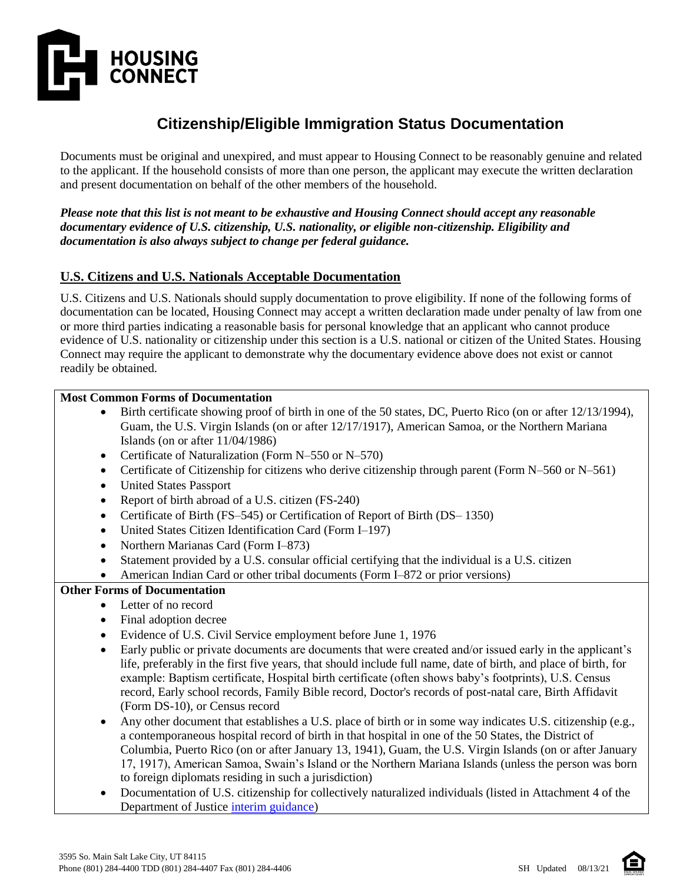

# **Citizenship/Eligible Immigration Status Documentation**

Documents must be original and unexpired, and must appear to Housing Connect to be reasonably genuine and related to the applicant. If the household consists of more than one person, the applicant may execute the written declaration and present documentation on behalf of the other members of the household.

*Please note that this list is not meant to be exhaustive and Housing Connect should accept any reasonable documentary evidence of U.S. citizenship, U.S. nationality, or eligible non-citizenship. Eligibility and documentation is also always subject to change per federal guidance.* 

## **U.S. Citizens and U.S. Nationals Acceptable Documentation**

U.S. Citizens and U.S. Nationals should supply documentation to prove eligibility. If none of the following forms of documentation can be located, Housing Connect may accept a written declaration made under penalty of law from one or more third parties indicating a reasonable basis for personal knowledge that an applicant who cannot produce evidence of U.S. nationality or citizenship under this section is a U.S. national or citizen of the United States. Housing Connect may require the applicant to demonstrate why the documentary evidence above does not exist or cannot readily be obtained.

#### **Most Common Forms of Documentation**

- Birth certificate showing proof of birth in one of the 50 states, DC, Puerto Rico (on or after 12/13/1994), Guam, the U.S. Virgin Islands (on or after 12/17/1917), American Samoa, or the Northern Mariana Islands (on or after 11/04/1986)
- Certificate of Naturalization (Form N–550 or N–570)
- Certificate of Citizenship for citizens who derive citizenship through parent (Form N–560 or N–561)
- United States Passport
- Report of birth abroad of a U.S. citizen (FS-240)
- Certificate of Birth (FS–545) or Certification of Report of Birth (DS– 1350)
- United States Citizen Identification Card (Form I–197)
- Northern Marianas Card (Form I–873)
- Statement provided by a U.S. consular official certifying that the individual is a U.S. citizen
- American Indian Card or other tribal documents (Form I–872 or prior versions)

## **Other Forms of Documentation**

- Letter of no record
- Final adoption decree
- Evidence of U.S. Civil Service employment before June 1, 1976
- Early public or private documents are documents that were created and/or issued early in the applicant's life, preferably in the first five years, that should include full name, date of birth, and place of birth, for example: Baptism certificate, Hospital birth certificate (often shows baby's footprints), U.S. Census record, Early school records, Family Bible record, Doctor's records of post-natal care, Birth Affidavit (Form DS-10), or Census record
- Any other document that establishes a U.S. place of birth or in some way indicates U.S. citizenship (e.g., a contemporaneous hospital record of birth in that hospital in one of the 50 States, the District of Columbia, Puerto Rico (on or after January 13, 1941), Guam, the U.S. Virgin Islands (on or after January 17, 1917), American Samoa, Swain's Island or the Northern Mariana Islands (unless the person was born to foreign diplomats residing in such a jurisdiction)
- Documentation of U.S. citizenship for collectively naturalized individuals (listed in Attachment 4 of the Department of Justice [interim guidance\)](https://www.govinfo.gov/content/pkg/FR-1997-11-17/pdf/97-29851.pdf)

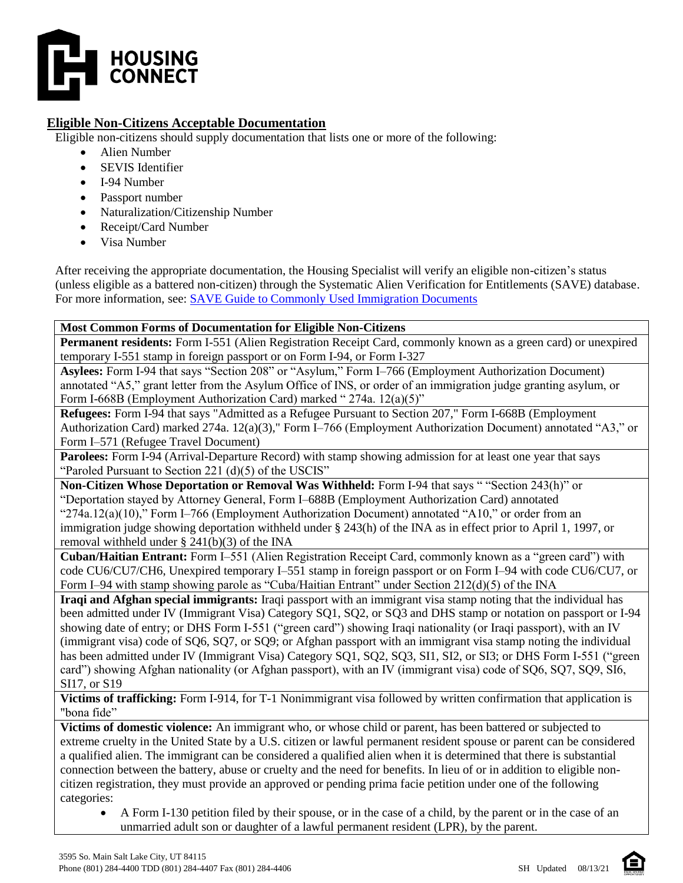

## **Eligible Non-Citizens Acceptable Documentation**

Eligible non-citizens should supply documentation that lists one or more of the following:

- Alien Number
- SEVIS Identifier
- I-94 Number
- Passport number
- Naturalization/Citizenship Number
- Receipt/Card Number
- Visa Number

After receiving the appropriate documentation, the Housing Specialist will verify an eligible non-citizen's status (unless eligible as a battered non-citizen) through the Systematic Alien Verification for Entitlements (SAVE) database. For more information, see: [SAVE Guide to Commonly Used Immigration Documents](https://save.uscis.gov/web/media/resourcesContents/SAVEGuideCommonlyusedImmigrationDocs.pdf)

#### **Most Common Forms of Documentation for Eligible Non-Citizens**

**Permanent residents:** Form I-551 (Alien Registration Receipt Card, commonly known as a green card) or unexpired temporary I-551 stamp in foreign passport or on Form I-94, or Form I-327

**Asylees:** Form I-94 that says "Section 208" or "Asylum," Form I–766 (Employment Authorization Document) annotated "A5," grant letter from the Asylum Office of INS, or order of an immigration judge granting asylum, or Form I-668B (Employment Authorization Card) marked " 274a. 12(a)(5)"

**Refugees:** Form I-94 that says "Admitted as a Refugee Pursuant to Section 207," Form I-668B (Employment Authorization Card) marked 274a. 12(a)(3)," Form I–766 (Employment Authorization Document) annotated "A3," or Form I–571 (Refugee Travel Document)

**Parolees:** Form I-94 (Arrival-Departure Record) with stamp showing admission for at least one year that says "Paroled Pursuant to Section 221 (d)(5) of the USCIS"

**Non-Citizen Whose Deportation or Removal Was Withheld:** Form I-94 that says " "Section 243(h)" or "Deportation stayed by Attorney General, Form I–688B (Employment Authorization Card) annotated "274a.12(a)(10)," Form I–766 (Employment Authorization Document) annotated "A10," or order from an immigration judge showing deportation withheld under § 243(h) of the INA as in effect prior to April 1, 1997, or removal withheld under § 241(b)(3) of the INA

**Cuban/Haitian Entrant:** Form I–551 (Alien Registration Receipt Card, commonly known as a "green card") with code CU6/CU7/CH6, Unexpired temporary I–551 stamp in foreign passport or on Form I–94 with code CU6/CU7, or Form I–94 with stamp showing parole as "Cuba/Haitian Entrant" under Section 212(d)(5) of the INA

**Iraqi and Afghan special immigrants:** Iraqi passport with an immigrant visa stamp noting that the individual has been admitted under IV (Immigrant Visa) Category SQ1, SQ2, or SQ3 and DHS stamp or notation on passport or I-94 showing date of entry; or DHS Form I-551 ("green card") showing Iraqi nationality (or Iraqi passport), with an IV (immigrant visa) code of SQ6, SQ7, or SQ9; or Afghan passport with an immigrant visa stamp noting the individual has been admitted under IV (Immigrant Visa) Category SQ1, SQ2, SQ3, SI1, SI2, or SI3; or DHS Form I-551 ("green card") showing Afghan nationality (or Afghan passport), with an IV (immigrant visa) code of SQ6, SQ7, SQ9, SI6, SI17, or S19

**Victims of trafficking:** Form I-914, for T-1 Nonimmigrant visa followed by written confirmation that application is "bona fide"

**Victims of domestic violence:** An immigrant who, or whose child or parent, has been battered or subjected to extreme cruelty in the United State by a U.S. citizen or lawful permanent resident spouse or parent can be considered a qualified alien. The immigrant can be considered a qualified alien when it is determined that there is substantial connection between the battery, abuse or cruelty and the need for benefits. In lieu of or in addition to eligible noncitizen registration, they must provide an approved or pending prima facie petition under one of the following categories:

 A Form I-130 petition filed by their spouse, or in the case of a child, by the parent or in the case of an unmarried adult son or daughter of a lawful permanent resident (LPR), by the parent.